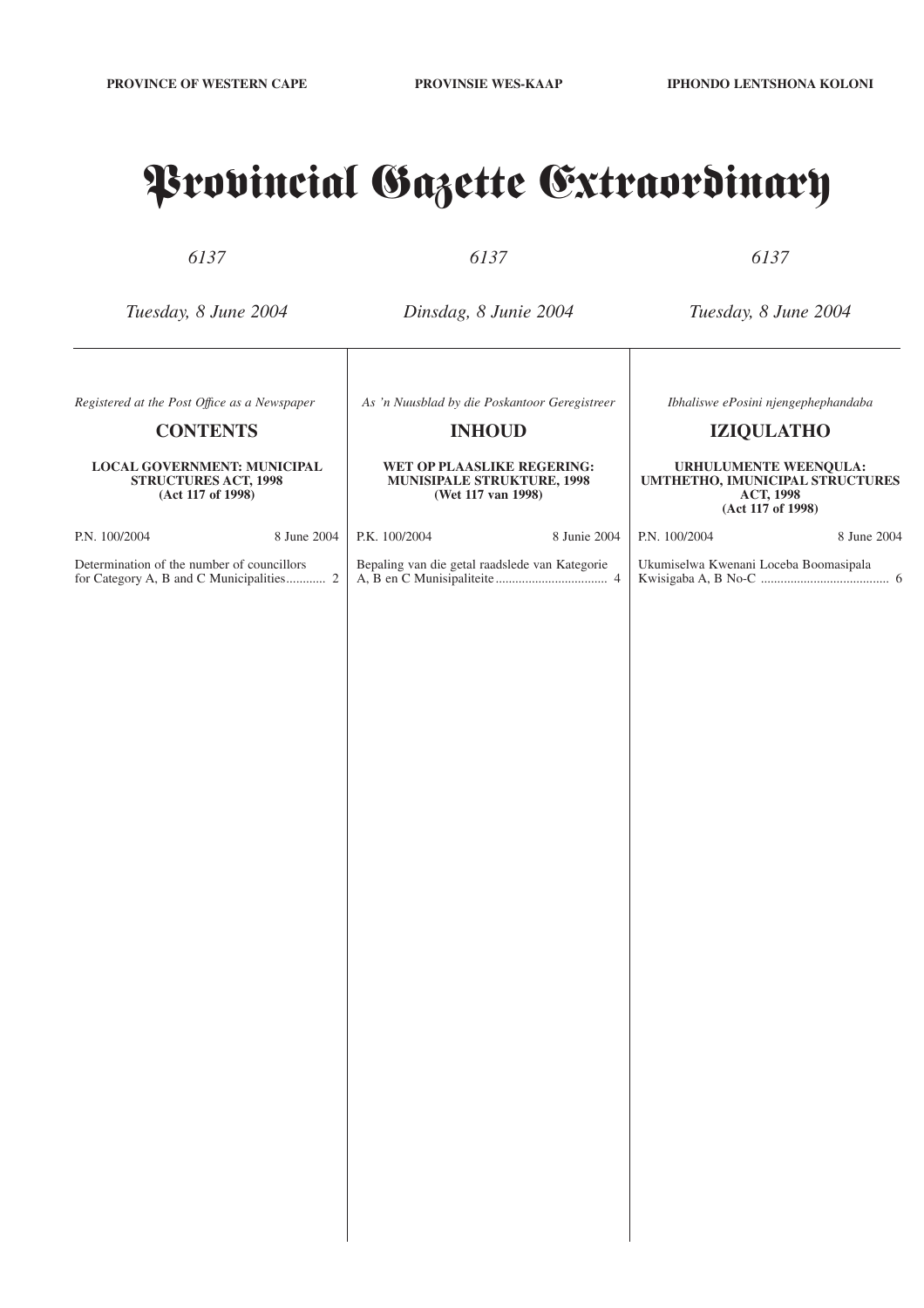## Provincial Gazette Extraordinary

*6137*

*6137*

*6137*

*Tuesday, 8 June 2004*

*Dinsdag, 8 Junie 2004*

*Tuesday, 8 June 2004*

*Ibhaliswe ePosini njengephephandaba* **IZIQULATHO**

**URHULUMENTE WEENQULA: UMTHETHO, IMUNICIPAL STRUCTURES ACT, 1998 (Act 117 of 1998)**

*Registered at the Post Offıce as a Newspaper*

#### **CONTENTS**

#### **LOCAL GOVERNMENT: MUNICIPAL STRUCTURES ACT, 1998 (Act 117 of 1998)**

| P.N. 100/2004                              | 8 June 2004 |  |
|--------------------------------------------|-------------|--|
| Determination of the number of councillors |             |  |

for Category A, B and C Municipalities............ 2

*As 'n Nuusblad by die Poskantoor Geregistreer*

#### **INHOUD**

#### **WET OP PLAASLIKE REGERING: MUNISIPALE STRUKTURE, 1998 (Wet 117 van 1998)**

A, B en C Munisipaliteite.................................. 4

P.K. 100/2004 8 Junie 2004 Bepaling van die getal raadslede van Kategorie

P.N. 100/2004 8 June 2004 Ukumiselwa Kwenani Loceba Boomasipala Kwisigaba A, B No-C ....................................... 6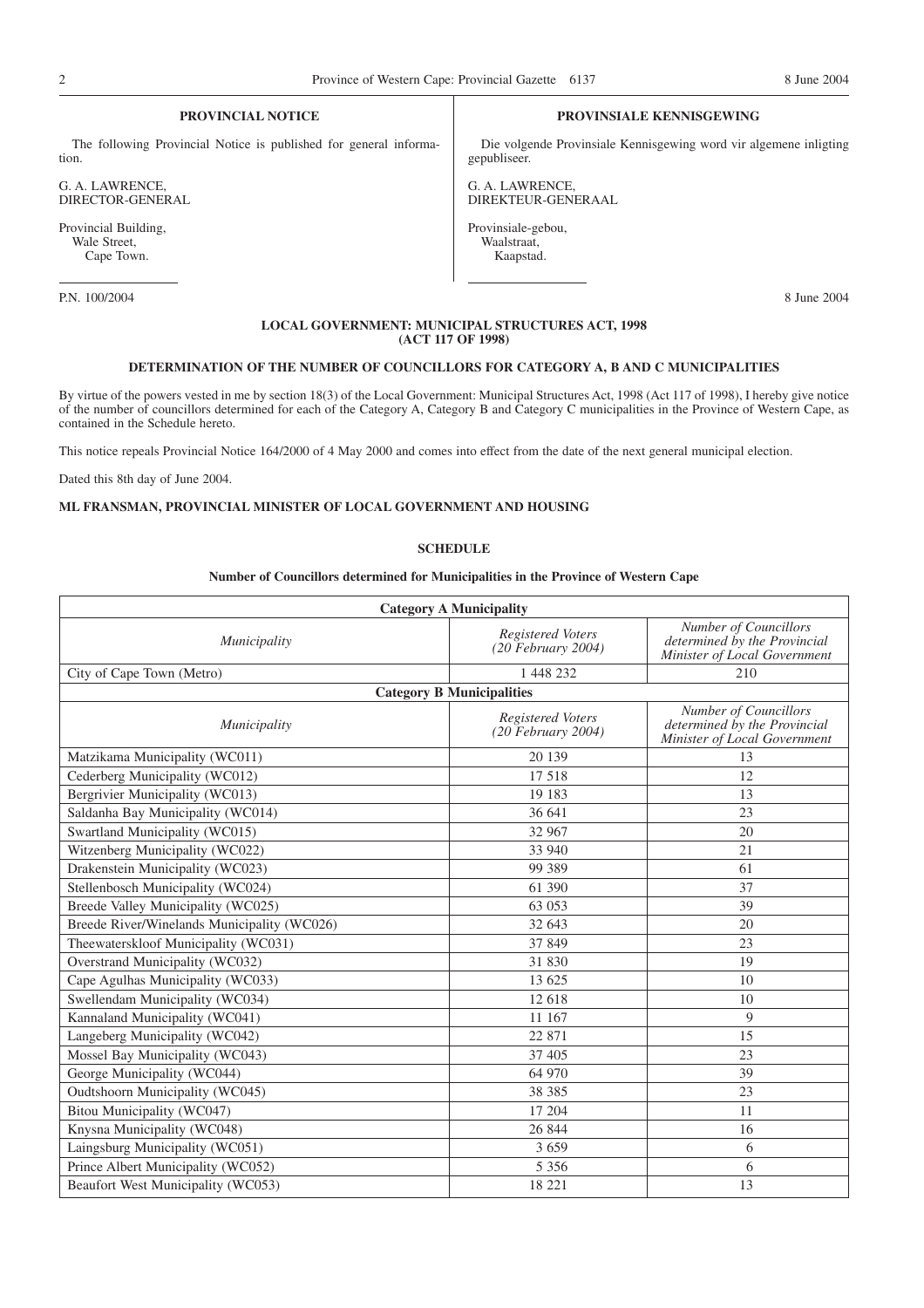#### **PROVINCIAL NOTICE**

The following Provincial Notice is published for general information.

G. A. LAWRENCE, DIRECTOR-GENERAL

Provincial Building, Wale Street, Cape Town.

P.N. 100/2004 8 June 2004

#### **PROVINSIALE KENNISGEWING**

Die volgende Provinsiale Kennisgewing word vir algemene inligting gepubliseer.

G. A. LAWRENCE, DIREKTEUR-GENERAAL

Provinsiale-gebou, Waalstraat, Kaapstad.

#### **LOCAL GOVERNMENT: MUNICIPAL STRUCTURES ACT, 1998 (ACT 117 OF 1998)**

### **DETERMINATION OF THE NUMBER OF COUNCILLORS FOR CATEGORY A, B AND C MUNICIPALITIES**

By virtue of the powers vested in me by section 18(3) of the Local Government: Municipal Structures Act, 1998 (Act 117 of 1998), I hereby give notice of the number of councillors determined for each of the Category A, Category B and Category C municipalities in the Province of Western Cape, as contained in the Schedule hereto.

This notice repeals Provincial Notice 164/2000 of 4 May 2000 and comes into effect from the date of the next general municipal election.

Dated this 8th day of June 2004.

#### **ML FRANSMAN, PROVINCIAL MINISTER OF LOCAL GOVERNMENT AND HOUSING**

#### **SCHEDULE**

#### **Number of Councillors determined for Municipalities in the Province of Western Cape**

| <b>Category A Municipality</b>              |                                           |                                                                                       |  |
|---------------------------------------------|-------------------------------------------|---------------------------------------------------------------------------------------|--|
| Municipality                                | Registered Voters<br>$(20$ February 2004) | Number of Councillors<br>determined by the Provincial<br>Minister of Local Government |  |
| City of Cape Town (Metro)                   | 1 448 232                                 | 210                                                                                   |  |
|                                             | <b>Category B Municipalities</b>          |                                                                                       |  |
| Municipality                                | Registered Voters<br>$(20$ February 2004) | Number of Councillors<br>determined by the Provincial<br>Minister of Local Government |  |
| Matzikama Municipality (WC011)              | 20 139                                    | 13                                                                                    |  |
| Cederberg Municipality (WC012)              | 17 518                                    | 12                                                                                    |  |
| Bergrivier Municipality (WC013)             | 19 183                                    | 13                                                                                    |  |
| Saldanha Bay Municipality (WC014)           | 36 641                                    | 23                                                                                    |  |
| Swartland Municipality (WC015)              | 32 967                                    | 20                                                                                    |  |
| Witzenberg Municipality (WC022)             | 33 940                                    | 21                                                                                    |  |
| Drakenstein Municipality (WC023)            | 99 389                                    | 61                                                                                    |  |
| Stellenbosch Municipality (WC024)           | 61 390                                    | 37                                                                                    |  |
| Breede Valley Municipality (WC025)          | 63 053                                    | 39                                                                                    |  |
| Breede River/Winelands Municipality (WC026) | 32 643                                    | 20                                                                                    |  |
| Theewaterskloof Municipality (WC031)        | 37 849                                    | 23                                                                                    |  |
| Overstrand Municipality (WC032)             | 31 830                                    | 19                                                                                    |  |
| Cape Agulhas Municipality (WC033)           | 13 625                                    | 10                                                                                    |  |
| Swellendam Municipality (WC034)             | 12 618                                    | 10                                                                                    |  |
| Kannaland Municipality (WC041)              | 11 167                                    | 9                                                                                     |  |
| Langeberg Municipality (WC042)              | 22 871                                    | 15                                                                                    |  |
| Mossel Bay Municipality (WC043)             | 37 405                                    | 23                                                                                    |  |
| George Municipality (WC044)                 | 64 970                                    | 39                                                                                    |  |
| Oudtshoorn Municipality (WC045)             | 38 38 5                                   | 23                                                                                    |  |
| Bitou Municipality (WC047)                  | 17 204                                    | 11                                                                                    |  |
| Knysna Municipality (WC048)                 | 26 844                                    | 16                                                                                    |  |
| Laingsburg Municipality (WC051)             | 3 6 5 9                                   | 6                                                                                     |  |
| Prince Albert Municipality (WC052)          | 5 3 5 6                                   | 6                                                                                     |  |
| Beaufort West Municipality (WC053)          | 18 221                                    | 13                                                                                    |  |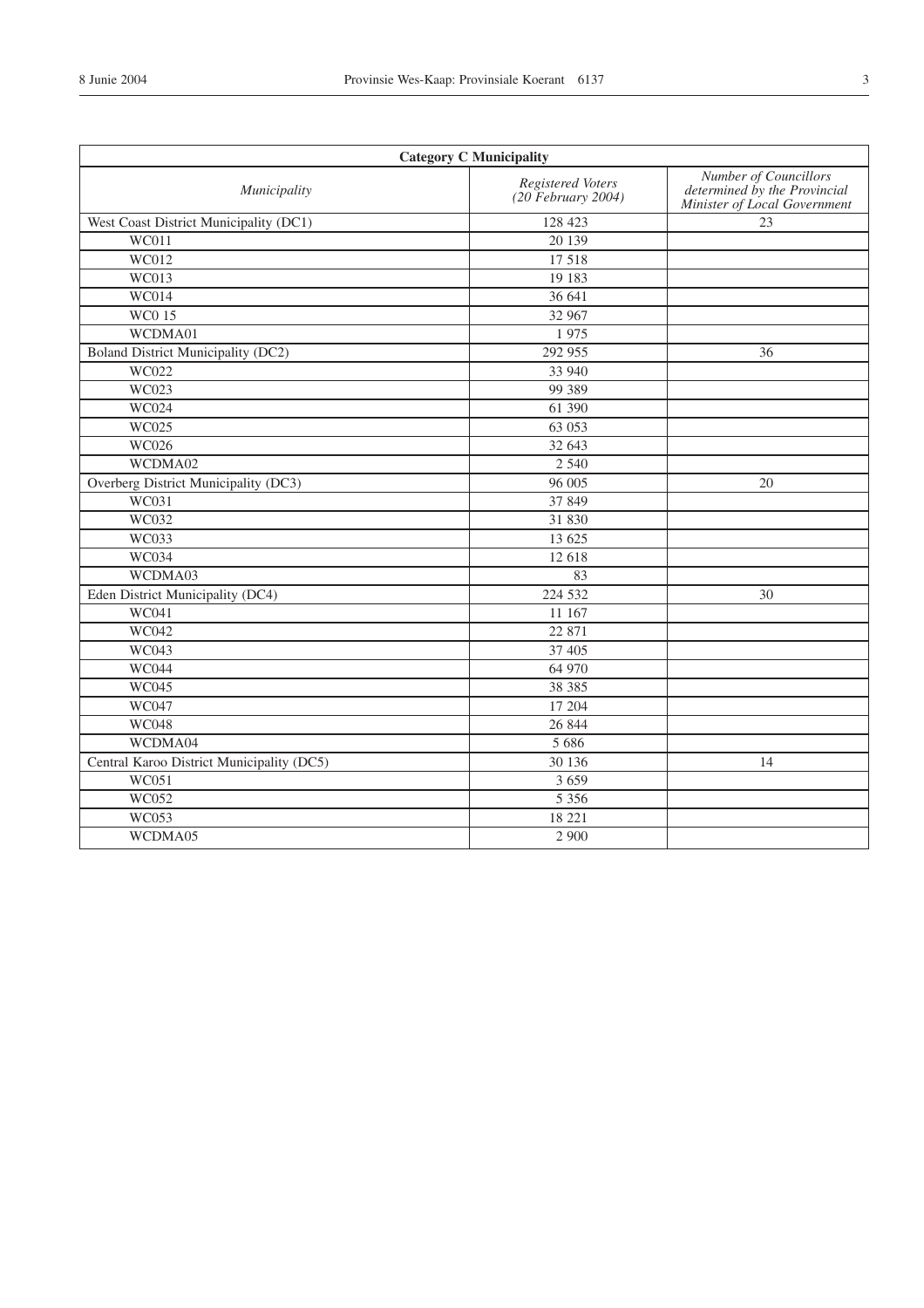| <b>Category C Municipality</b>            |                                           |                                                                                       |
|-------------------------------------------|-------------------------------------------|---------------------------------------------------------------------------------------|
| Municipality                              | Registered Voters<br>$(20$ February 2004) | Number of Councillors<br>determined by the Provincial<br>Minister of Local Government |
| West Coast District Municipality (DC1)    | 128 423                                   | 23                                                                                    |
| <b>WC011</b>                              | 20 139                                    |                                                                                       |
| <b>WC012</b>                              | 17 5 18                                   |                                                                                       |
| <b>WC013</b>                              | 19 183                                    |                                                                                       |
| <b>WC014</b>                              | 36 641                                    |                                                                                       |
| <b>WC015</b>                              | 32 967                                    |                                                                                       |
| WCDMA01                                   | 1975                                      |                                                                                       |
| Boland District Municipality (DC2)        | 292 955                                   | 36                                                                                    |
| WC022                                     | 33 940                                    |                                                                                       |
| <b>WC023</b>                              | 99 389                                    |                                                                                       |
| WC024                                     | 61 390                                    |                                                                                       |
| WC025                                     | 63 053                                    |                                                                                       |
| WC026                                     | 32 643                                    |                                                                                       |
| WCDMA02                                   | 2 5 4 0                                   |                                                                                       |
| Overberg District Municipality (DC3)      | 96 005                                    | 20                                                                                    |
| WC031                                     | 37 849                                    |                                                                                       |
| <b>WC032</b>                              | 31 830                                    |                                                                                       |
| <b>WC033</b>                              | 13 625                                    |                                                                                       |
| <b>WC034</b>                              | 12 618                                    |                                                                                       |
| WCDMA03                                   | 83                                        |                                                                                       |
| Eden District Municipality (DC4)          | 224 532                                   | 30                                                                                    |
| <b>WC041</b>                              | 11 167                                    |                                                                                       |
| <b>WC042</b>                              | 22 871                                    |                                                                                       |
| WC043                                     | 37 405                                    |                                                                                       |
| <b>WC044</b>                              | 64 970                                    |                                                                                       |
| <b>WC045</b>                              | 38 3 8 5                                  |                                                                                       |
| WC047                                     | 17 204                                    |                                                                                       |
| <b>WC048</b>                              | 26 844                                    |                                                                                       |
| WCDMA04                                   | 5 6 8 6                                   |                                                                                       |
| Central Karoo District Municipality (DC5) | 30 136                                    | 14                                                                                    |
| WC051                                     | 3 6 5 9                                   |                                                                                       |
| WC052                                     | 5 3 5 6                                   |                                                                                       |
| WC053                                     | 18 221                                    |                                                                                       |
| WCDMA05                                   | 2 9 0 0                                   |                                                                                       |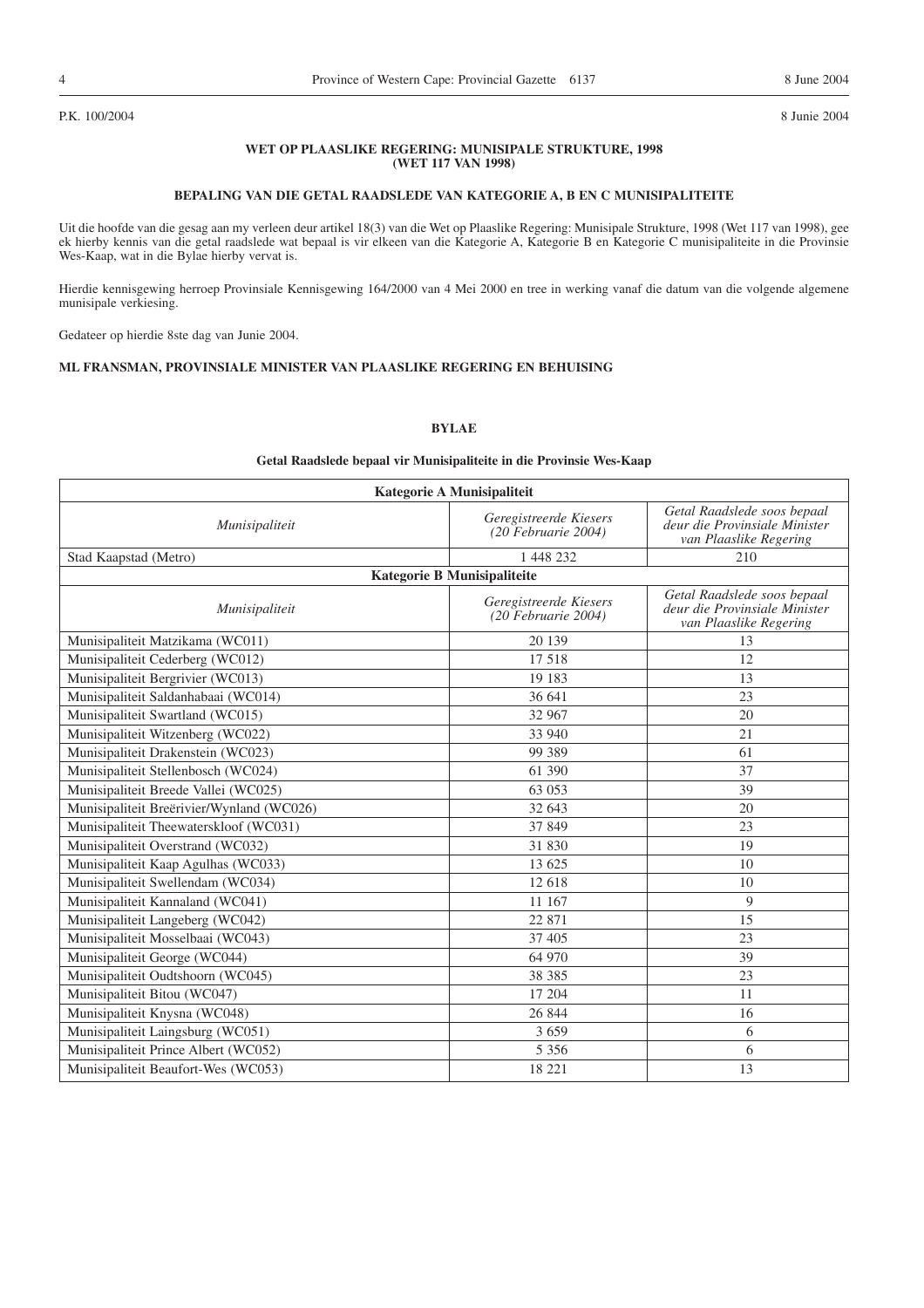#### P.K. 100/2004 8 Junie 2004

#### **WET OP PLAASLIKE REGERING: MUNISIPALE STRUKTURE, 1998 (WET 117 VAN 1998)**

#### **BEPALING VAN DIE GETAL RAADSLEDE VAN KATEGORIE A, B EN C MUNISIPALITEITE**

Uit die hoofde van die gesag aan my verleen deur artikel 18(3) van die Wet op Plaaslike Regering: Munisipale Strukture, 1998 (Wet 117 van 1998), gee ek hierby kennis van die getal raadslede wat bepaal is vir elkeen van die Kategorie A, Kategorie B en Kategorie C munisipaliteite in die Provinsie Wes-Kaap, wat in die Bylae hierby vervat is.

Hierdie kennisgewing herroep Provinsiale Kennisgewing 164/2000 van 4 Mei 2000 en tree in werking vanaf die datum van die volgende algemene munisipale verkiesing.

Gedateer op hierdie 8ste dag van Junie 2004.

#### **ML FRANSMAN, PROVINSIALE MINISTER VAN PLAASLIKE REGERING EN BEHUISING**

#### **BYLAE**

#### **Getal Raadslede bepaal vir Munisipaliteite in die Provinsie Wes-Kaap**

| Kategorie A Munisipaliteit                |                                                 |                                                                                        |  |
|-------------------------------------------|-------------------------------------------------|----------------------------------------------------------------------------------------|--|
| Munisipaliteit                            | Geregistreerde Kiesers<br>$(20$ Februarie 2004) | Getal Raadslede soos bepaal<br>deur die Provinsiale Minister<br>van Plaaslike Regering |  |
| Stad Kaapstad (Metro)                     | 1 448 232                                       | 210                                                                                    |  |
|                                           | Kategorie B Munisipaliteite                     |                                                                                        |  |
| Munisipaliteit                            | Geregistreerde Kiesers<br>$(20$ Februarie 2004) | Getal Raadslede soos bepaal<br>deur die Provinsiale Minister<br>van Plaaslike Regering |  |
| Munisipaliteit Matzikama (WC011)          | 20 139                                          | 13                                                                                     |  |
| Munisipaliteit Cederberg (WC012)          | 17518                                           | 12                                                                                     |  |
| Munisipaliteit Bergrivier (WC013)         | 19 183                                          | 13                                                                                     |  |
| Munisipaliteit Saldanhabaai (WC014)       | 36 641                                          | 23                                                                                     |  |
| Munisipaliteit Swartland (WC015)          | 32 967                                          | 20                                                                                     |  |
| Munisipaliteit Witzenberg (WC022)         | 33 940                                          | 21                                                                                     |  |
| Munisipaliteit Drakenstein (WC023)        | 99 389                                          | 61                                                                                     |  |
| Munisipaliteit Stellenbosch (WC024)       | 61 390                                          | 37                                                                                     |  |
| Munisipaliteit Breede Vallei (WC025)      | 63 053                                          | 39                                                                                     |  |
| Munisipaliteit Breërivier/Wynland (WC026) | 32 643                                          | 20                                                                                     |  |
| Munisipaliteit Theewaterskloof (WC031)    | 37 849                                          | 23                                                                                     |  |
| Munisipaliteit Overstrand (WC032)         | 31 830                                          | 19                                                                                     |  |
| Munisipaliteit Kaap Agulhas (WC033)       | 13 625                                          | 10                                                                                     |  |
| Munisipaliteit Swellendam (WC034)         | 12 618                                          | 10                                                                                     |  |
| Munisipaliteit Kannaland (WC041)          | 11 167                                          | $\mathbf Q$                                                                            |  |
| Munisipaliteit Langeberg (WC042)          | 22 871                                          | 15                                                                                     |  |
| Munisipaliteit Mosselbaai (WC043)         | 37 405                                          | 23                                                                                     |  |
| Munisipaliteit George (WC044)             | 64 970                                          | 39                                                                                     |  |
| Munisipaliteit Oudtshoorn (WC045)         | 38 38 5                                         | 23                                                                                     |  |
| Munisipaliteit Bitou (WC047)              | 17 204                                          | 11                                                                                     |  |
| Munisipaliteit Knysna (WC048)             | 26 844                                          | 16                                                                                     |  |
| Munisipaliteit Laingsburg (WC051)         | 3659                                            | 6                                                                                      |  |
| Munisipaliteit Prince Albert (WC052)      | 5 3 5 6                                         | 6                                                                                      |  |
| Munisipaliteit Beaufort-Wes (WC053)       | 18 221                                          | 13                                                                                     |  |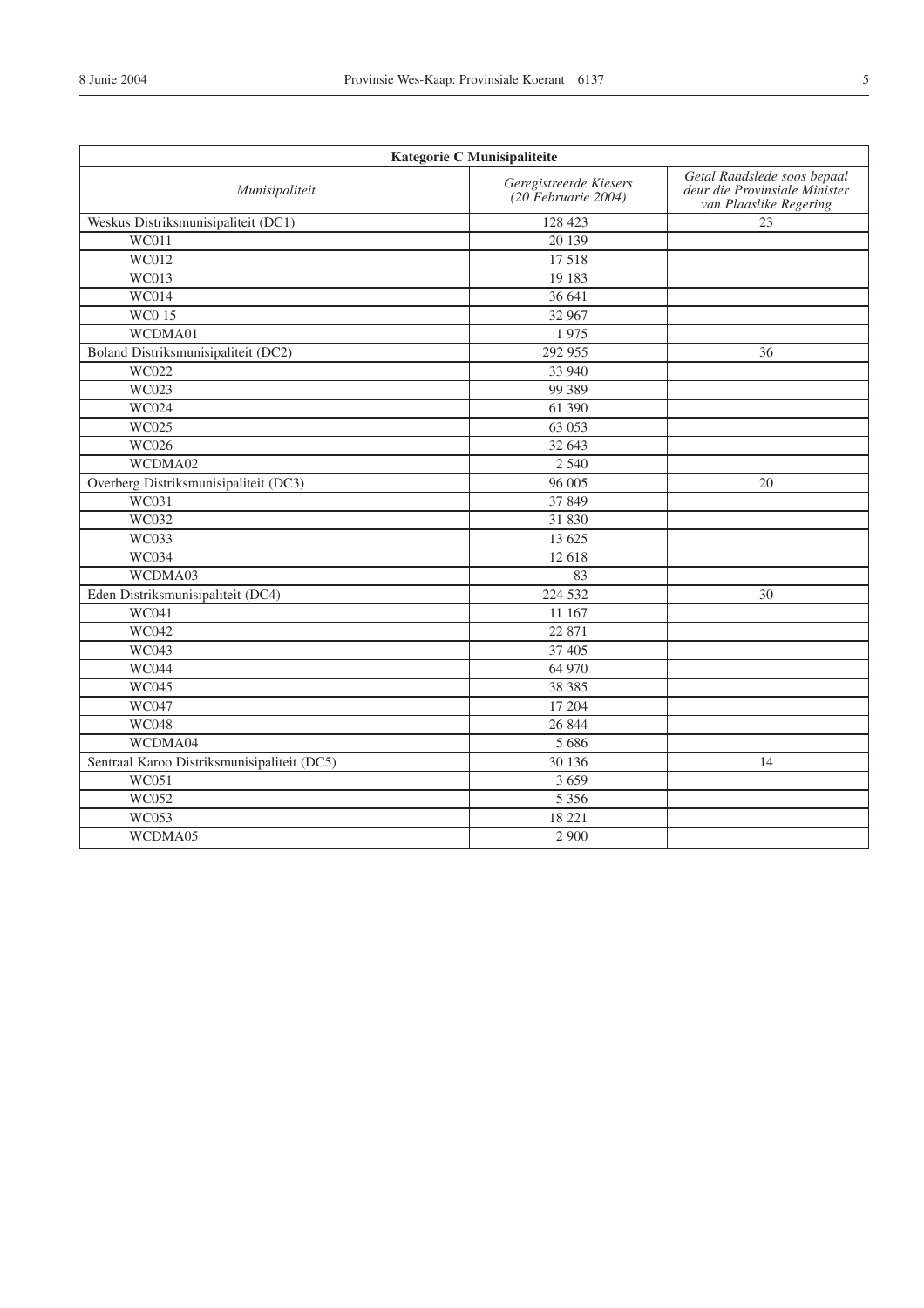| Kategorie C Munisipaliteite                 |                                                          |                                                                                        |
|---------------------------------------------|----------------------------------------------------------|----------------------------------------------------------------------------------------|
| Munisipaliteit                              | Geregistreerde Kiesers<br>$(20 \text{ }$ Februarie 2004) | Getal Raadslede soos bepaal<br>deur die Provinsiale Minister<br>van Plaaslike Regering |
| Weskus Distriksmunisipaliteit (DC1)         | 128 423                                                  | 23                                                                                     |
| <b>WC011</b>                                | 20 139                                                   |                                                                                        |
| WC012                                       | 17 5 18                                                  |                                                                                        |
| WC013                                       | 19 183                                                   |                                                                                        |
| <b>WC014</b>                                | 36 641                                                   |                                                                                        |
| <b>WC015</b>                                | 32 967                                                   |                                                                                        |
| WCDMA01                                     | 1975                                                     |                                                                                        |
| Boland Distriksmunisipaliteit (DC2)         | 292 955                                                  | 36                                                                                     |
| WC022                                       | 33 940                                                   |                                                                                        |
| WC023                                       | 99 389                                                   |                                                                                        |
| WC024                                       | 61 390                                                   |                                                                                        |
| WC025                                       | 63 053                                                   |                                                                                        |
| WC026                                       | 32 643                                                   |                                                                                        |
| WCDMA02                                     | 2 5 4 0                                                  |                                                                                        |
| Overberg Distriksmunisipaliteit (DC3)       | 96 005                                                   | 20                                                                                     |
| WC031                                       | 37 849                                                   |                                                                                        |
| <b>WC032</b>                                | 31 830                                                   |                                                                                        |
| <b>WC033</b>                                | 13 625                                                   |                                                                                        |
| <b>WC034</b>                                | 12 618                                                   |                                                                                        |
| WCDMA03                                     | 83                                                       |                                                                                        |
| Eden Distriksmunisipaliteit (DC4)           | 224 532                                                  | 30                                                                                     |
| <b>WC041</b>                                | 11 167                                                   |                                                                                        |
| <b>WC042</b>                                | 22 871                                                   |                                                                                        |
| WC043                                       | 37 405                                                   |                                                                                        |
| <b>WC044</b>                                | 64 970                                                   |                                                                                        |
| <b>WC045</b>                                | 38 3 8 5                                                 |                                                                                        |
| WC047                                       | 17 204                                                   |                                                                                        |
| <b>WC048</b>                                | 26 844                                                   |                                                                                        |
| WCDMA04                                     | 5 6 8 6                                                  |                                                                                        |
| Sentraal Karoo Distriksmunisipaliteit (DC5) | 30 136                                                   | 14                                                                                     |
| WC051                                       | 3 6 5 9                                                  |                                                                                        |
| WC052                                       | 5 3 5 6                                                  |                                                                                        |
| WC053                                       | 18 221                                                   |                                                                                        |
| WCDMA05                                     | 2 900                                                    |                                                                                        |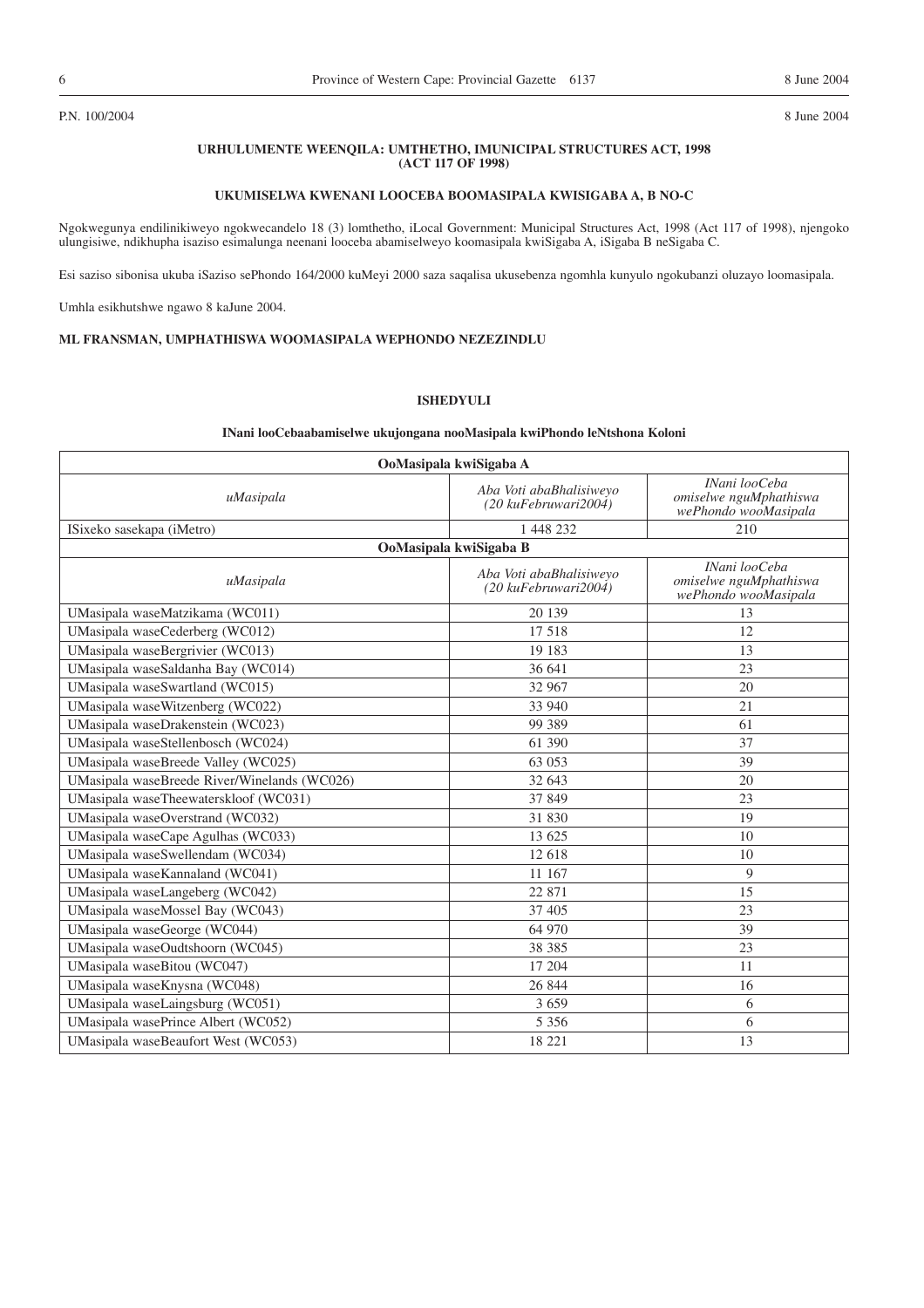#### P.N. 100/2004 8 June 2004

#### **URHULUMENTE WEENQILA: UMTHETHO, IMUNICIPAL STRUCTURES ACT, 1998 (ACT 117 OF 1998)**

#### **UKUMISELWA KWENANI LOOCEBA BOOMASIPALA KWISIGABA A, B NO-C**

Ngokwegunya endilinikiweyo ngokwecandelo 18 (3) lomthetho, iLocal Government: Municipal Structures Act, 1998 (Act 117 of 1998), njengoko ulungisiwe, ndikhupha isaziso esimalunga neenani looceba abamiselweyo koomasipala kwiSigaba A, iSigaba B neSigaba C.

Esi saziso sibonisa ukuba iSaziso sePhondo 164/2000 kuMeyi 2000 saza saqalisa ukusebenza ngomhla kunyulo ngokubanzi oluzayo loomasipala.

Umhla esikhutshwe ngawo 8 kaJune 2004.

#### **ML FRANSMAN, UMPHATHISWA WOOMASIPALA WEPHONDO NEZEZINDLU**

### **ISHEDYULI**

#### **INani looCebaabamiselwe ukujongana nooMasipala kwiPhondo leNtshona Koloni**

| OoMasipala kwiSigaba A                       |                                                            |                                                                 |  |
|----------------------------------------------|------------------------------------------------------------|-----------------------------------------------------------------|--|
| uMasipala                                    | Aba Voti abaBhalisiweyo<br>$(20 \text{ kufebruwari} 2004)$ | INani looCeba<br>omiselwe nguMphathiswa<br>wePhondo wooMasipala |  |
| ISixeko sasekapa (iMetro)                    | 1 448 232                                                  | 210                                                             |  |
|                                              | OoMasipala kwiSigaba B                                     |                                                                 |  |
| uMasipala                                    | Aba Voti abaBhalisiweyo<br>$(20 \text{ kufebruwari} 2004)$ | INani looCeba<br>omiselwe nguMphathiswa<br>wePhondo wooMasipala |  |
| UMasipala waseMatzikama (WC011)              | 20 139                                                     | 13                                                              |  |
| UMasipala waseCederberg (WC012)              | 17518                                                      | 12                                                              |  |
| UMasipala waseBergrivier (WC013)             | 19 183                                                     | 13                                                              |  |
| UMasipala waseSaldanha Bay (WC014)           | 36 641                                                     | 23                                                              |  |
| UMasipala waseSwartland (WC015)              | 32 967                                                     | 20                                                              |  |
| UMasipala waseWitzenberg (WC022)             | 33 940                                                     | 21                                                              |  |
| UMasipala waseDrakenstein (WC023)            | 99 389                                                     | 61                                                              |  |
| UMasipala waseStellenbosch (WC024)           | 61 390                                                     | 37                                                              |  |
| UMasipala waseBreede Valley (WC025)          | 63 053                                                     | 39                                                              |  |
| UMasipala waseBreede River/Winelands (WC026) | 32 643                                                     | 20                                                              |  |
| UMasipala waseTheewaterskloof (WC031)        | 37 849                                                     | 23                                                              |  |
| UMasipala waseOverstrand (WC032)             | 31 830                                                     | 19                                                              |  |
| UMasipala waseCape Agulhas (WC033)           | 13 625                                                     | 10                                                              |  |
| UMasipala waseSwellendam (WC034)             | 12 618                                                     | 10                                                              |  |
| UMasipala waseKannaland (WC041)              | 11 167                                                     | 9                                                               |  |
| UMasipala waseLangeberg (WC042)              | 22 871                                                     | 15                                                              |  |
| UMasipala waseMossel Bay (WC043)             | 37 405                                                     | 23                                                              |  |
| UMasipala waseGeorge (WC044)                 | 64 970                                                     | 39                                                              |  |
| UMasipala waseOudtshoorn (WC045)             | 38 38 5                                                    | 23                                                              |  |
| UMasipala waseBitou (WC047)                  | 17 204                                                     | 11                                                              |  |
| UMasipala waseKnysna (WC048)                 | 26 844                                                     | 16                                                              |  |
| UMasipala waseLaingsburg (WC051)             | 3659                                                       | 6                                                               |  |
| UMasipala wasePrince Albert (WC052)          | 5 3 5 6                                                    | 6                                                               |  |
| UMasipala waseBeaufort West (WC053)          | 18 221                                                     | 13                                                              |  |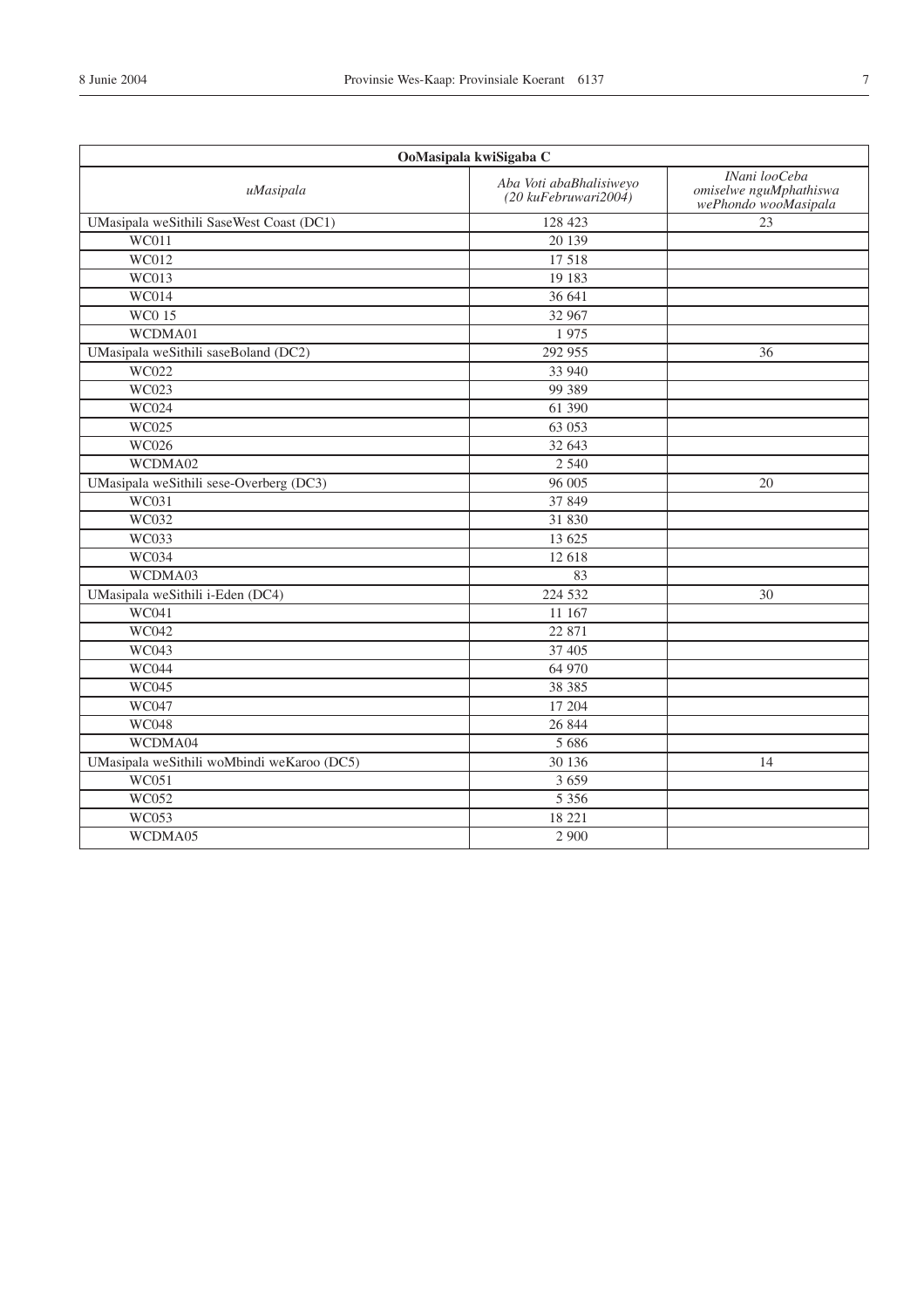| OoMasipala kwiSigaba C                     |                                                          |                                                                 |
|--------------------------------------------|----------------------------------------------------------|-----------------------------------------------------------------|
| uMasipala                                  | Aba Voti abaBhalisiweyo<br>$(20 \text{ kuFebruwari2004)$ | INani looCeba<br>omiselwe nguMphathiswa<br>wePhondo wooMasipala |
| UMasipala weSithili SaseWest Coast (DC1)   | 128 423                                                  | 23                                                              |
| WC011                                      | 20 139                                                   |                                                                 |
| $\overline{WC012}$                         | 17 5 18                                                  |                                                                 |
| <b>WC013</b>                               | 19 183                                                   |                                                                 |
| $\overline{WC014}$                         | 36 641                                                   |                                                                 |
| <b>WC015</b>                               | 32 967                                                   |                                                                 |
| WCDMA01                                    | 1975                                                     |                                                                 |
| UMasipala weSithili saseBoland (DC2)       | 292 955                                                  | 36                                                              |
| WC022                                      | 33 940                                                   |                                                                 |
| WC023                                      | 99 389                                                   |                                                                 |
| WC024                                      | 61 390                                                   |                                                                 |
| WC025                                      | 63 053                                                   |                                                                 |
| <b>WC026</b>                               | 32 643                                                   |                                                                 |
| WCDMA02                                    | 2 5 4 0                                                  |                                                                 |
| UMasipala weSithili sese-Overberg (DC3)    | 96 005                                                   | 20                                                              |
| WC031                                      | 37 849                                                   |                                                                 |
| <b>WC032</b>                               | 31 830                                                   |                                                                 |
| WC033                                      | 13 625                                                   |                                                                 |
| <b>WC034</b>                               | 12 618                                                   |                                                                 |
| WCDMA03                                    | 83                                                       |                                                                 |
| UMasipala weSithili i-Eden (DC4)           | 224 532                                                  | 30                                                              |
| <b>WC041</b>                               | 11 167                                                   |                                                                 |
| <b>WC042</b>                               | 22 871                                                   |                                                                 |
| <b>WC043</b>                               | 37 405                                                   |                                                                 |
| <b>WC044</b>                               | 64 970                                                   |                                                                 |
| WC045                                      | 38 3 8 5                                                 |                                                                 |
| WC047                                      | 17 204                                                   |                                                                 |
| <b>WC048</b>                               | 26 844                                                   |                                                                 |
| WCDMA04                                    | 5 6 8 6                                                  |                                                                 |
| UMasipala weSithili woMbindi weKaroo (DC5) | 30 136                                                   | 14                                                              |
| WC051                                      | 3 6 5 9                                                  |                                                                 |
| WC052                                      | 5 3 5 6                                                  |                                                                 |
| WC053                                      | 18 221                                                   |                                                                 |
| WCDMA05                                    | 2 9 0 0                                                  |                                                                 |